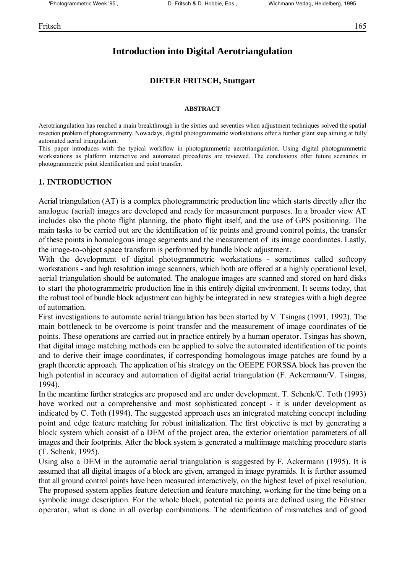# **Introduction into Digital Aerotriangulation**

#### **DIETER FRITSCH, Stuttgart**

#### **ABSTRACT**

Aerotriangulation has reached a main breakthrough in the sixties and seventies when adjustment techniques solved the spatial resection problem of photogrammetry. Nowadays, digital photogrammetric workstations offer a further giant step aiming at fully automated aerial triangulation.

This paper introduces with the typical workflow in photogrammetric aerotriangulation. Using digital photogrammetric workstations as platform interactive and automated procedures are reviewed. The conclusions offer future scenarios in photogrammetric point identification and point transfer.

#### **1. INTRODUCTION**

Aerial triangulation (AT) is a complex photogrammetric production line which starts directly after the analogue (aerial) images are developed and ready for measurement purposes. In a broader view AT includes also the photo flight planning, the photo flight itself, and the use of GPS positioning. The main tasks to be carried out are the identification of tie points and ground control points, the transfer of these points in homologous image segments and the measurement of its image coordinates. Lastly, the image-to-object space transform is performed by bundle block adjustment.

With the development of digital photogrammetric workstations - sometimes called softcopy workstations - and high resolution image scanners, which both are offered at a highly operational level, aerial triangulation should be automated. The analogue images are scanned and stored on hard disks to start the photogrammetric production line in this entirely digital environment. It seems today, that the robust tool of bundle block adjustment can highly be integrated in new strategies with a high degree of automation.

First investigations to automate aerial triangulation has been started by V. Tsingas (1991, 1992). The main bottleneck to be overcome is point transfer and the measurement of image coordinates of tie points. These operations are carried out in practice entirely by a human operator. Tsingas has shown, that digital image matching methods can be applied to solve the automated identification of tie points and to derive their image coordinates, if corresponding homologous image patches are found by a graph theoretic approach. The application of his strategy on the OEEPE FORSSA block has proven the high potential in accuracy and automation of digital aerial triangulation (F. Ackermann/V. Tsingas, 1994).

In the meantime further strategies are proposed and are under development. T. Schenk/C. Toth (1993) have worked out a comprehensive and most sophisticated concept - it is under development as indicated by C. Toth (1994). The suggested approach uses an integrated matching concept including point and edge feature matching for robust initialization. The first objective is met by generating a block system which consist of a DEM of the project area, the exterior orientation parameters of all images and their footprints. After the block system is generated a multiimage matching procedure starts (T. Schenk, 1995).

Using also a DEM in the automatic aerial triangulation is suggested by F. Ackermann (1995). It is assumed that all digital images of a block are given, arranged in image pyramids. It is further assumed that all ground control points have been measured interactively, on the highest level of pixel resolution. The proposed system applies feature detection and feature matching, working for the time being on a symbolic image description. For the whole block, potential tie points are defined using the Förstner operator, what is done in all overlap combinations. The identification of mismatches and of good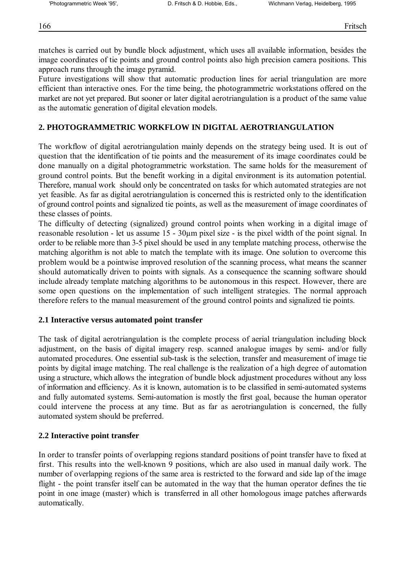matches is carried out by bundle block adjustment, which uses all available information, besides the image coordinates of tie points and ground control points also high precision camera positions. This approach runs through the image pyramid.

Future investigations will show that automatic production lines for aerial triangulation are more efficient than interactive ones. For the time being, the photogrammetric workstations offered on the market are not yet prepared. But sooner or later digital aerotriangulation is a product of the same value as the automatic generation of digital elevation models.

# **2. PHOTOGRAMMETRIC WORKFLOW IN DIGITAL AEROTRIANGULATION**

The workflow of digital aerotriangulation mainly depends on the strategy being used. It is out of question that the identification of tie points and the measurement of its image coordinates could be done manually on a digital photogrammetric workstation. The same holds for the measurement of ground control points. But the benefit working in a digital environment is its automation potential. Therefore, manual work should only be concentrated on tasks for which automated strategies are not yet feasible. As far as digital aerotriangulation is concerned this is restricted only to the identification of ground control points and signalized tie points, as well as the measurement of image coordinates of these classes of points.

The difficulty of detecting (signalized) ground control points when working in a digital image of reasonable resolution - let us assume 15 - 30µm pixel size - is the pixel width of the point signal. In order to be reliable more than 3-5 pixel should be used in any template matching process, otherwise the matching algorithm is not able to match the template with its image. One solution to overcome this problem would be a pointwise improved resolution of the scanning process, what means the scanner should automatically driven to points with signals. As a consequence the scanning software should include already template matching algorithms to be autonomous in this respect. However, there are some open questions on the implementation of such intelligent strategies. The normal approach therefore refers to the manual measurement of the ground control points and signalized tie points.

# **2.1 Interactive versus automated point transfer**

The task of digital aerotriangulation is the complete process of aerial triangulation including block adjustment, on the basis of digital imagery resp. scanned analogue images by semi- and/or fully automated procedures. One essential sub-task is the selection, transfer and measurement of image tie points by digital image matching. The real challenge is the realization of a high degree of automation using a structure, which allows the integration of bundle block adjustment procedures without any loss of information and efficiency. As it is known, automation is to be classified in semi-automated systems and fully automated systems. Semi-automation is mostly the first goal, because the human operator could intervene the process at any time. But as far as aerotriangulation is concerned, the fully automated system should be preferred.

# **2.2 Interactive point transfer**

In order to transfer points of overlapping regions standard positions of point transfer have to fixed at first. This results into the well-known 9 positions, which are also used in manual daily work. The number of overlapping regions of the same area is restricted to the forward and side lap of the image flight - the point transfer itself can be automated in the way that the human operator defines the tie point in one image (master) which is transferred in all other homologous image patches afterwards automatically.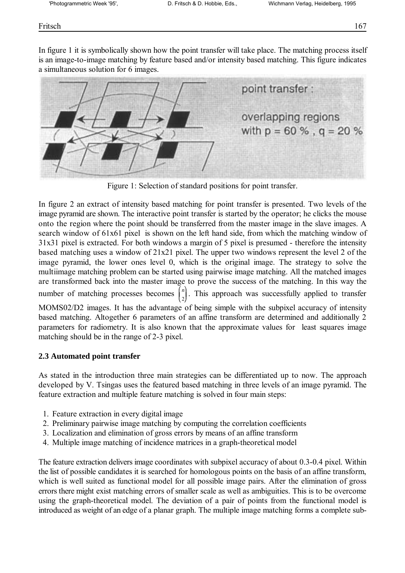## Fritsch 167

In figure 1 it is symbolically shown how the point transfer will take place. The matching process itself is an image-to-image matching by feature based and/or intensity based matching. This figure indicates a simultaneous solution for 6 images.



Figure 1: Selection of standard positions for point transfer.

*n* number of matching processes becomes  $\begin{bmatrix} n \\ 2 \end{bmatrix}$ . This approach was successfully applied to transfer In figure 2 an extract of intensity based matching for point transfer is presented. Two levels of the image pyramid are shown. The interactive point transfer is started by the operator; he clicks the mouse onto the region where the point should be transferred from the master image in the slave images. A search window of 61x61 pixel is shown on the left hand side, from which the matching window of 31x31 pixel is extracted. For both windows a margin of 5 pixel is presumed - therefore the intensity based matching uses a window of 21x21 pixel. The upper two windows represent the level 2 of the image pyramid, the lower ones level 0, which is the original image. The strategy to solve the multiimage matching problem can be started using pairwise image matching. All the matched images are transformed back into the master image to prove the success of the matching. In this way the MOMS02/D2 images. It has the advantage of being simple with the subpixel accuracy of intensity based matching. Altogether 6 parameters of an affine transform are determined and additionally 2 parameters for radiometry. It is also known that the approximate values for least squares image matching should be in the range of 2-3 pixel.

### **2.3 Automated point transfer**

As stated in the introduction three main strategies can be differentiated up to now. The approach developed by V. Tsingas uses the featured based matching in three levels of an image pyramid. The feature extraction and multiple feature matching is solved in four main steps:

- 1. Feature extraction in every digital image
- 2. Preliminary pairwise image matching by computing the correlation coefficients
- 3. Localization and elimination of gross errors by means of an affine transform
- 4. Multiple image matching of incidence matrices in a graph-theoretical model

The feature extraction delivers image coordinates with subpixel accuracy of about 0.3-0.4 pixel. Within the list of possible candidates it is searched for homologous points on the basis of an affine transform, which is well suited as functional model for all possible image pairs. After the elimination of gross errors there might exist matching errors of smaller scale as well as ambiguities. This is to be overcome using the graph-theoretical model. The deviation of a pair of points from the functional model is introduced as weight of an edge of a planar graph. The multiple image matching forms a complete sub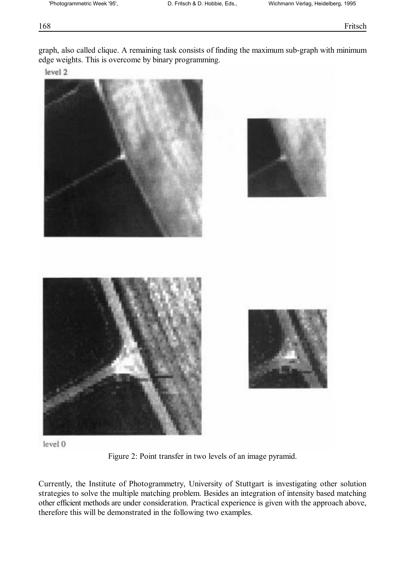graph, also called clique. A remaining task consists of finding the maximum sub-graph with minimum edge weights. This is overcome by binary programming.

level 2



level 0

Figure 2: Point transfer in two levels of an image pyramid.

Currently, the Institute of Photogrammetry, University of Stuttgart is investigating other solution strategies to solve the multiple matching problem. Besides an integration of intensity based matching other efficient methods are under consideration. Practical experience is given with the approach above, therefore this will be demonstrated in the following two examples.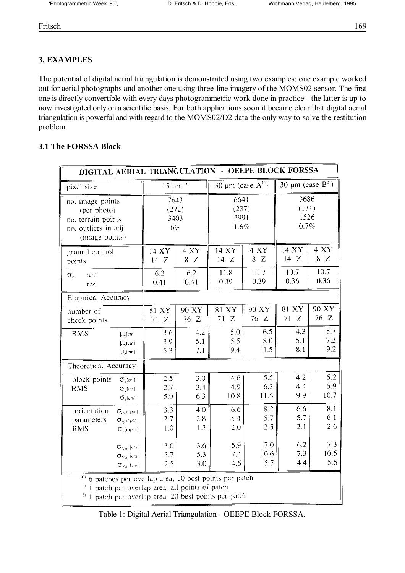# **3. EXAMPLES**

The potential of digital aerial triangulation is demonstrated using two examples: one example worked out for aerial photographs and another one using three-line imagery of the MOMS02 sensor. The first one is directly convertible with every days photogrammetric work done in practice - the latter is up to now investigated only on a scientific basis. For both applications soon it became clear that digital aerial triangulation is powerful and with regard to the MOMS02/D2 data the only way to solve the restitution problem.

#### **3.1 The FORSSA Block**

| <b>OEEPE BLOCK FORSSA</b><br>DIGITAL AERIAL TRIANGULATION -                                                                         |                                                                            |                                |                       |                                   |                    |                                    |                    |
|-------------------------------------------------------------------------------------------------------------------------------------|----------------------------------------------------------------------------|--------------------------------|-----------------------|-----------------------------------|--------------------|------------------------------------|--------------------|
| pixel size                                                                                                                          |                                                                            | $15 \mu m$ <sup>01</sup>       |                       | 30 $\mu$ m (case A <sup>1</sup> ) |                    | 30 $\mu$ m (case B <sup>2)</sup> ) |                    |
| no. image points<br>(per photo)<br>no. terrain points<br>no. outliers in adj.<br>(image points)                                     |                                                                            | 7643<br>(272)<br>3403<br>$6\%$ |                       | 6641<br>(237)<br>2991<br>1.6%     |                    | 3686<br>(131)<br>1526<br>0.7%      |                    |
| ground control<br>points                                                                                                            |                                                                            | 14 XY<br>14Z                   | 4 XY<br>8Z            | 14 XY<br>14Z                      | 4 XY<br>8Z         | 14 XY<br>14Z                       | 4 XY<br>8Z         |
| $\sigma_{\rm o}$<br>[µm]<br>[pixel]                                                                                                 |                                                                            | 6.2<br>0.41                    | 6.2<br>0.41           | 11.8<br>0.39                      | 11.7<br>0.39       | 10.7<br>0.36                       | 10.7<br>0.36       |
| <b>Empirical Accuracy</b>                                                                                                           |                                                                            |                                |                       |                                   |                    |                                    |                    |
| number of<br>check points                                                                                                           |                                                                            | 81 XY<br>71<br>Z               | 90 XY<br>76 Z         | 81 XY<br>71<br>Z                  | 90 XY<br>76 Z      | 81 XY<br>Z<br>71                   | 90 XY<br>76 Z      |
| <b>RMS</b>                                                                                                                          | $\mu_{x}$ [cm]<br>$\mu_{\rm v}$ [cm]<br>$\mu_z$ [cm]                       | 3.6<br>3.9<br>5.3              | 4.2<br>5.1<br>7.1     | 5.0<br>5.5<br>9.4                 | 6.5<br>8.0<br>11.5 | 4.3<br>5.1<br>8.1                  | 5.7<br>7.3<br>9.2  |
| Theoretical Accuracy                                                                                                                |                                                                            |                                |                       |                                   |                    |                                    |                    |
| block points<br><b>RMS</b>                                                                                                          | $\sigma_{\rm x}$ [cm]<br>$\sigma_{\rm v}$ [cm]<br>$\sigma_{z}$ [cm]        | 2.5<br>2.7<br>5.9              | 3.0<br>3.4<br>6.3     | 4.6<br>4.9<br>10.8                | 5.5<br>6.3<br>11.5 | 4.2<br>4.4<br>9.9                  | 5.2<br>5.9<br>10.7 |
| orientation<br>parameters<br><b>RMS</b>                                                                                             | $\sigma_{\omega}$ [mgon]<br>$\sigma_{\phi}$ [mgon]<br>$\sigma_k$ [mgon]    | 3.3<br>2.7<br>1.0              | 4.0<br>$2.8\,$<br>1.3 | 6.6<br>5.4<br>2.0                 | 8.2<br>5.7<br>2.5  | 6.6<br>5.7<br>2.1                  | 8.1<br>6.1<br>2.6  |
|                                                                                                                                     | $\sigma_{\text{Xo}}$ [cm]<br>$\sigma_{\rm Yo}$ [cm]<br>$\sigma_{Z_0}$ [cm] | 3.0<br>3.7<br>2.5              | 3.6<br>5.3<br>3.0     | 5.9<br>7.4<br>4.6                 | 7.0<br>10.6<br>5.7 | 6.2<br>7.3<br>4.4                  | 7.3<br>10.5<br>5.6 |
| $\frac{01}{10}$ 6 patches per overlap area, 10 best points per patch<br>$\frac{1}{2}$ 1 patch per overlap area, all points of patch |                                                                            |                                |                       |                                   |                    |                                    |                    |

 $^{2)}$  1 patch per overlap area, 20 best points per patch

Table 1: Digital Aerial Triangulation - OEEPE Block FORSSA.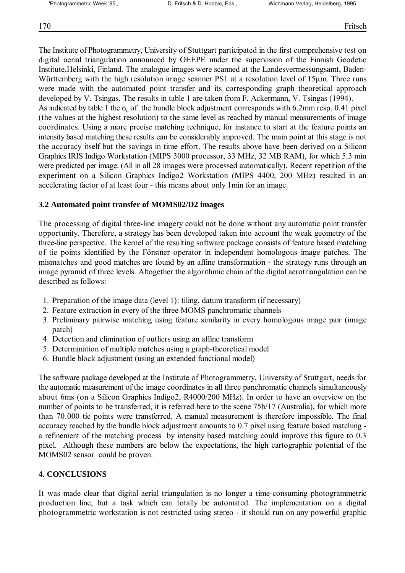The Institute of Photogrammetry, University of Stuttgart participated in the first comprehensive test on digital aerial triangulation announced by OEEPE under the supervision of the Finnish Geodetic Institute,Helsinki, Finland. The analogue images were scanned at the Landesvermessungsamt, Baden-Württemberg with the high resolution image scanner PS1 at a resolution level of 15um. Three runs were made with the automated point transfer and its corresponding graph theoretical approach developed by V. Tsingas. The results in table 1 are taken from F. Ackermann, V. Tsingas (1994). As indicated by table 1 the  $\sigma_0$  of the bundle block adjustment corresponds with 6.2mm resp. 0.41 pixel (the values at the highest resolution) to the same level as reached by manual measurements of image coordinates. Using a more precise matching technique, for instance to start at the feature points an intensity based matching these results can be considerably improved. The main point at this stage is not the accuracy itself but the savings in time effort. The results above have been derived on a Silicon Graphics IRIS Indigo Workstation (MIPS 3000 processor, 33 MHz, 32 MB RAM), for which 5.3 min were predicted per image. (All in all 28 images were processed automatically). Recent repetition of the experiment on a Silicon Graphics Indigo2 Workstation (MIPS 4400, 200 MHz) resulted in an accelerating factor of at least four - this means about only 1min for an image.

#### **3.2 Automated point transfer of MOMS02/D2 images**

The processing of digital three-line imagery could not be done without any automatic point transfer opportunity. Therefore, a strategy has been developed taken into account the weak geometry of the three-line perspective. The kernel of the resulting software package consists of feature based matching of tie points identified by the Förstner operator in independent homologous image patches. The mismatches and good matches are found by an affine transformation - the strategy runs through an image pyramid of three levels. Altogether the algorithmic chain of the digital aerotriangulation can be described as follows:

- 1. Preparation of the image data (level 1): tiling, datum transform (if necessary)
- 2. Feature extraction in every of the three MOMS panchromatic channels
- 3. Preliminary pairwise matching using feature similarity in every homologous image pair (image patch)
- 4. Detection and elimination of outliers using an affine transform
- 5. Determination of multiple matches using a graph-theoretical model
- 6. Bundle block adjustment (using an extended functional model)

The software package developed at the Institute of Photogrammetry, University of Stuttgart, needs for the automatic measurement of the image coordinates in all three panchromatic channels simultaneously about 6ms (on a Silicon Graphics Indigo2, R4000/200 MHz). In order to have an overview on the number of points to be transferred, it is referred here to the scene 75b/17 (Australia), for which more than 70.000 tie points were transferred. A manual measurement is therefore impossible. The final accuracy reached by the bundle block adjustment amounts to 0.7 pixel using feature based matching a refinement of the matching process by intensity based matching could improve this figure to 0.3 pixel. Although these numbers are below the expectations, the high cartographic potential of the MOMS02 sensor could be proven.

### **4. CONCLUSIONS**

It was made clear that digital aerial triangulation is no longer a time-consuming photogrammetric production line, but a task which can totally be automated. The implementation on a digital photogrammetric workstation is not restricted using stereo - it should run on any powerful graphic